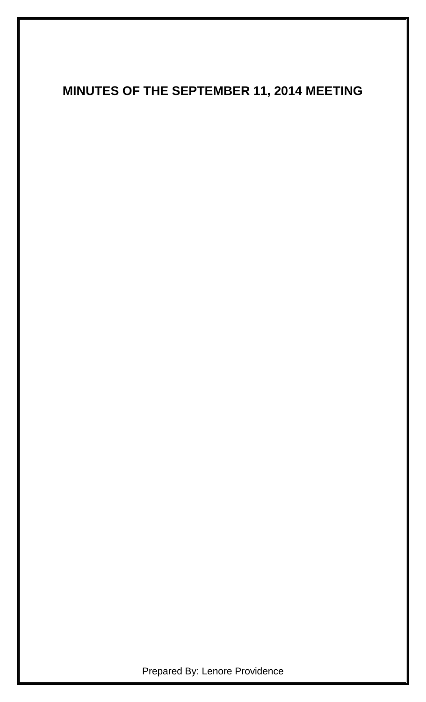# **MINUTES OF THE SEPTEMBER 11, 2014 MEETING**

Prepared By: Lenore Providence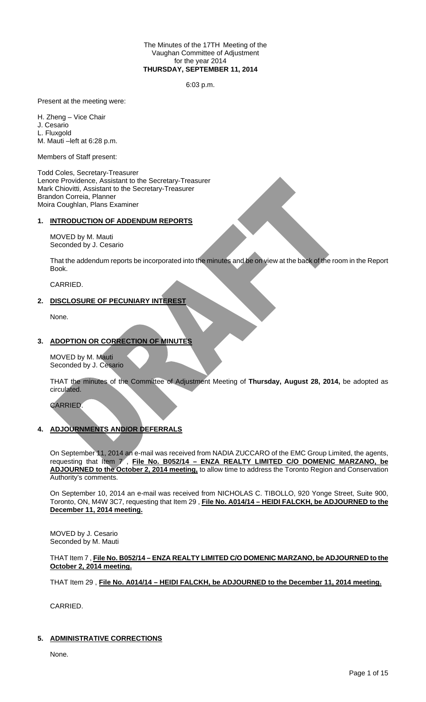### The Minutes of the 17TH Meeting of the Vaughan Committee of Adjustment for the year 2014 **THURSDAY, SEPTEMBER 11, 2014**

6:03 p.m.

Present at the meeting were:

H. Zheng – Vice Chair J. Cesario L. Fluxgold M. Mauti –left at 6:28 p.m.

Members of Staff present:

Todd Coles, Secretary-Treasurer Lenore Providence, Assistant to the Secretary-Treasurer Mark Chiovitti, Assistant to the Secretary-Treasurer Brandon Correia, Planner Moira Coughlan, Plans Examiner

# **1. INTRODUCTION OF ADDENDUM REPORTS**

MOVED by M. Mauti Seconded by J. Cesario

That the addendum reports be incorporated into the minutes and be on view at the back of the room in the Report Book.

CARRIED.

# **2. DISCLOSURE OF PECUNIARY INTEREST**

None.

# **3. ADOPTION OR CORRECTION OF MINUTES**

MOVED by M. Mauti Seconded by J. Cesario

THAT the minutes of the Committee of Adjustment Meeting of **Thursday, August 28, 2014,** be adopted as circulated.

# CARRIED.

# **4. ADJOURNMENTS AND/OR DEFERRALS**

On September 11, 2014 an e-mail was received from NADIA ZUCCARO of the EMC Group Limited, the agents, requesting that Item 7 , **File No. B052/14 – ENZA REALTY LIMITED C/O DOMENIC MARZANO, be ADJOURNED to the October 2, 2014 meeting,** to allow time to address the Toronto Region and Conservation Authority's comments.

On September 10, 2014 an e-mail was received from NICHOLAS C. TIBOLLO, 920 Yonge Street, Suite 900, Toronto, ON, M4W 3C7, requesting that Item 29 , **File No. A014/14 – HEIDI FALCKH, be ADJOURNED to the December 11, 2014 meeting.**

MOVED by J. Cesario Seconded by M. Mauti

# THAT Item 7 , **File No. B052/14 – ENZA REALTY LIMITED C/O DOMENIC MARZANO, be ADJOURNED to the October 2, 2014 meeting.**

THAT Item 29 , **File No. A014/14 – HEIDI FALCKH, be ADJOURNED to the December 11, 2014 meeting.**

CARRIED.

# **5. ADMINISTRATIVE CORRECTIONS**

None.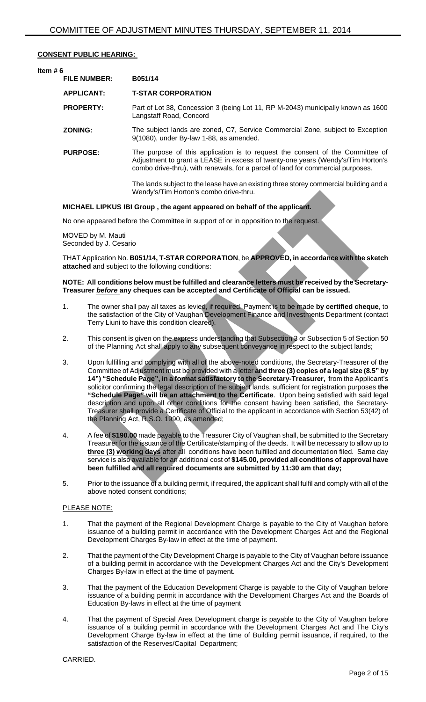# **CONSENT PUBLIC HEARING:**

# **Item # 6 FILE NUMBER: B051/14 APPLICANT: T-STAR CORPORATION PROPERTY:** Part of Lot 38, Concession 3 (being Lot 11, RP M-2043) municipally known as 1600 Langstaff Road, Concord **ZONING:** The subject lands are zoned, C7, Service Commercial Zone, subject to Exception 9(1080), under By-law 1-88, as amended. **PURPOSE:** The purpose of this application is to request the consent of the Committee of Adjustment to grant a LEASE in excess of twenty-one years (Wendy's/Tim Horton's combo drive-thru), with renewals, for a parcel of land for commercial purposes. The lands subject to the lease have an existing three storey commercial building and a Wendy's/Tim Horton's combo drive-thru.

# **MICHAEL LIPKUS IBI Group , the agent appeared on behalf of the applicant.**

No one appeared before the Committee in support of or in opposition to the request.

MOVED by M. Mauti Seconded by J. Cesario

THAT Application No. **B051/14, T-STAR CORPORATION**, be **APPROVED, in accordance with the sketch attached** and subject to the following conditions:

## **NOTE: All conditions below must be fulfilled and clearance letters must be received by the Secretary-Treasurer** *before* **any cheques can be accepted and Certificate of Official can be issued.**

- 1. The owner shall pay all taxes as levied, if required. Payment is to be made **by certified cheque**, to the satisfaction of the City of Vaughan Development Finance and Investments Department (contact Terry Liuni to have this condition cleared).
- 2. This consent is given on the express understanding that Subsection 3 or Subsection 5 of Section 50 of the Planning Act shall apply to any subsequent conveyance in respect to the subject lands;
- 3. Upon fulfilling and complying with all of the above-noted conditions, the Secretary-Treasurer of the Committee of Adjustment must be provided with a letter **and three (3) copies of a legal size (8.5" by 14") "Schedule Page", in a format satisfactory to the Secretary-Treasurer,** from the Applicant's solicitor confirming the legal description of the subject lands, sufficient for registration purposes **the "Schedule Page" will be an attachment to the Certificate**. Upon being satisfied with said legal description and upon all other conditions for the consent having been satisfied, the Secretary-Treasurer shall provide a Certificate of Official to the applicant in accordance with Section 53(42) of the Planning Act, R.S.O. 1990, as amended;
- 4. A fee of **\$190.00** made payable to the Treasurer City of Vaughan shall, be submitted to the Secretary Treasurer for the issuance of the Certificate/stamping of the deeds. It will be necessary to allow up to **three (3) working days** after all conditions have been fulfilled and documentation filed. Same day service is also available for an additional cost of **\$145.00, provided all conditions of approval have been fulfilled and all required documents are submitted by 11:30 am that day;**
- 5. Prior to the issuance of a building permit, if required, the applicant shall fulfil and comply with all of the above noted consent conditions;

#### PLEASE NOTE:

- 1. That the payment of the Regional Development Charge is payable to the City of Vaughan before issuance of a building permit in accordance with the Development Charges Act and the Regional Development Charges By-law in effect at the time of payment.
- 2. That the payment of the City Development Charge is payable to the City of Vaughan before issuance of a building permit in accordance with the Development Charges Act and the City's Development Charges By-law in effect at the time of payment.
- 3. That the payment of the Education Development Charge is payable to the City of Vaughan before issuance of a building permit in accordance with the Development Charges Act and the Boards of Education By-laws in effect at the time of payment
- 4. That the payment of Special Area Development charge is payable to the City of Vaughan before issuance of a building permit in accordance with the Development Charges Act and The City's Development Charge By-law in effect at the time of Building permit issuance, if required, to the satisfaction of the Reserves/Capital Department;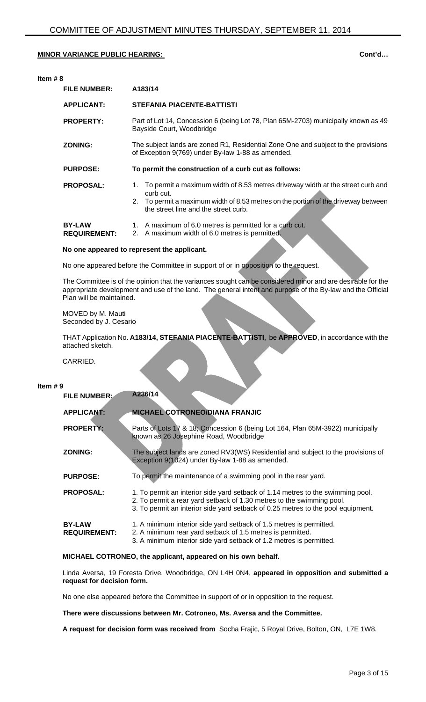| Item $#8$                            |                                                                                                                                                                                                                                 |  |
|--------------------------------------|---------------------------------------------------------------------------------------------------------------------------------------------------------------------------------------------------------------------------------|--|
| <b>FILE NUMBER:</b>                  | A183/14                                                                                                                                                                                                                         |  |
| <b>APPLICANT:</b>                    | STEFANIA PIACENTE-BATTISTI                                                                                                                                                                                                      |  |
| <b>PROPERTY:</b>                     | Part of Lot 14, Concession 6 (being Lot 78, Plan 65M-2703) municipally known as 49<br>Bayside Court, Woodbridge                                                                                                                 |  |
| <b>ZONING:</b>                       | The subject lands are zoned R1, Residential Zone One and subject to the provisions<br>of Exception 9(769) under By-law 1-88 as amended.                                                                                         |  |
| <b>PURPOSE:</b>                      | To permit the construction of a curb cut as follows:                                                                                                                                                                            |  |
| <b>PROPOSAL:</b>                     | To permit a maximum width of 8.53 metres driveway width at the street curb and<br>1.<br>curb cut.<br>2. To permit a maximum width of 8.53 metres on the portion of the driveway between<br>the street line and the street curb. |  |
| <b>BY-LAW</b><br><b>REQUIREMENT:</b> | A maximum of 6.0 metres is permitted for a curb cut.<br>1.<br>A maximum width of 6.0 metres is permitted.<br>2.                                                                                                                 |  |

# **No one appeared to represent the applicant.**

No one appeared before the Committee in support of or in opposition to the request.

The Committee is of the opinion that the variances sought can be considered minor and are desirable for the appropriate development and use of the land. The general intent and purpose of the By-law and the Official Plan will be maintained.

MOVED by M. Mauti Seconded by J. Cesario

THAT Application No. **A183/14, STEFANIA PIACENTE-BATTISTI**, be **APPROVED**, in accordance with the attached sketch.

CARRIED.

#### **Item # 9**

| <b>FILE NUMBER:</b>                  | A236/14                                                                                                                                                                                                                                      |
|--------------------------------------|----------------------------------------------------------------------------------------------------------------------------------------------------------------------------------------------------------------------------------------------|
| <b>APPLICANT:</b>                    | <b>MICHAEL COTRONEO/DIANA FRANJIC</b>                                                                                                                                                                                                        |
| <b>PROPERTY:</b>                     | Parts of Lots 17 & 18; Concession 6 (being Lot 164, Plan 65M-3922) municipally<br>known as 26 Josephine Road, Woodbridge                                                                                                                     |
| <b>ZONING:</b>                       | The subject lands are zoned RV3(WS) Residential and subject to the provisions of<br>Exception 9(1024) under By-law 1-88 as amended.                                                                                                          |
| <b>PURPOSE:</b>                      | To permit the maintenance of a swimming pool in the rear yard.                                                                                                                                                                               |
| <b>PROPOSAL:</b>                     | 1. To permit an interior side yard setback of 1.14 metres to the swimming pool.<br>2. To permit a rear yard setback of 1.30 metres to the swimming pool.<br>3. To permit an interior side yard setback of 0.25 metres to the pool equipment. |
| <b>BY-LAW</b><br><b>REQUIREMENT:</b> | 1. A minimum interior side yard setback of 1.5 metres is permitted.<br>2. A minimum rear yard setback of 1.5 metres is permitted.<br>3. A minimum interior side yard setback of 1.2 metres is permitted.                                     |

**MICHAEL COTRONEO, the applicant, appeared on his own behalf.**

Linda Aversa, 19 Foresta Drive, Woodbridge, ON L4H 0N4, **appeared in opposition and submitted a request for decision form.**

No one else appeared before the Committee in support of or in opposition to the request.

**There were discussions between Mr. Cotroneo, Ms. Aversa and the Committee.**

**A request for decision form was received from** Socha Frajic, 5 Royal Drive, Bolton, ON, L7E 1W8.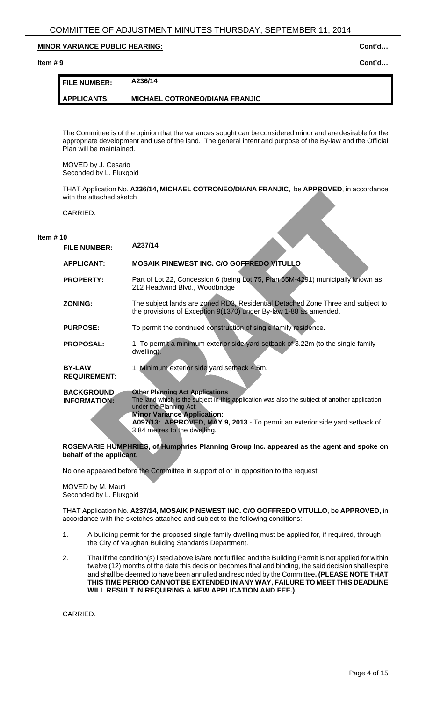**Item # 9 Cont'd…**

| I FILE NUMBER: | A236/14                               |
|----------------|---------------------------------------|
| I APPLICANTS:  | <b>MICHAEL COTRONEO/DIANA FRANJIC</b> |

The Committee is of the opinion that the variances sought can be considered minor and are desirable for the appropriate development and use of the land. The general intent and purpose of the By-law and the Official Plan will be maintained.

MOVED by J. Cesario Seconded by L. Fluxgold

THAT Application No. **A236/14, MICHAEL COTRONEO/DIANA FRANJIC**, be **APPROVED**, in accordance with the attached sketch

CARRIED.

#### **Item # 10**

| <b>FILE NUMBER:</b>                      | A237/14                                                                                                                                                                                                                                                                                 |
|------------------------------------------|-----------------------------------------------------------------------------------------------------------------------------------------------------------------------------------------------------------------------------------------------------------------------------------------|
| <b>APPLICANT:</b>                        | <b>MOSAIK PINEWEST INC. C/O GOFFREDO VITULLO</b>                                                                                                                                                                                                                                        |
| <b>PROPERTY:</b>                         | Part of Lot 22, Concession 6 (being Lot 75, Plan 65M-4291) municipally known as<br>212 Headwind Blvd., Woodbridge                                                                                                                                                                       |
| <b>ZONING:</b>                           | The subject lands are zoned RD3, Residential Detached Zone Three and subject to<br>the provisions of Exception 9(1370) under By-law 1-88 as amended.                                                                                                                                    |
| <b>PURPOSE:</b>                          | To permit the continued construction of single family residence.                                                                                                                                                                                                                        |
| <b>PROPOSAL:</b>                         | 1. To permit a minimum exterior side yard setback of 3.22m (to the single family<br>dwelling).                                                                                                                                                                                          |
| <b>BY-LAW</b><br><b>REQUIREMENT:</b>     | 1. Minimum exterior side yard setback 4.5m.                                                                                                                                                                                                                                             |
| <b>BACKGROUND</b><br><b>INFORMATION:</b> | <b>Other Planning Act Applications</b><br>The land which is the subject in this application was also the subject of another application<br>under the Planning Act:<br><b>Minor Variance Application:</b><br>A097/13: APPROVED, MAY 9, 2013 - To permit an exterior side yard setback of |
|                                          | 3.84 metres to the dwelling.                                                                                                                                                                                                                                                            |

# **ROSEMARIE HUMPHRIES, of Humphries Planning Group Inc. appeared as the agent and spoke on behalf of the applicant.**

No one appeared before the Committee in support of or in opposition to the request.

#### MOVED by M. Mauti Seconded by L. Fluxgold

THAT Application No. **A237/14, MOSAIK PINEWEST INC. C/O GOFFREDO VITULLO**, be **APPROVED,** in accordance with the sketches attached and subject to the following conditions:

- 1. A building permit for the proposed single family dwelling must be applied for, if required, through the City of Vaughan Building Standards Department.
- 2. That if the condition(s) listed above is/are not fulfilled and the Building Permit is not applied for within twelve (12) months of the date this decision becomes final and binding, the said decision shall expire and shall be deemed to have been annulled and rescinded by the Committee**. (PLEASE NOTE THAT THIS TIME PERIOD CANNOT BE EXTENDED IN ANY WAY, FAILURE TO MEET THIS DEADLINE WILL RESULT IN REQUIRING A NEW APPLICATION AND FEE.)**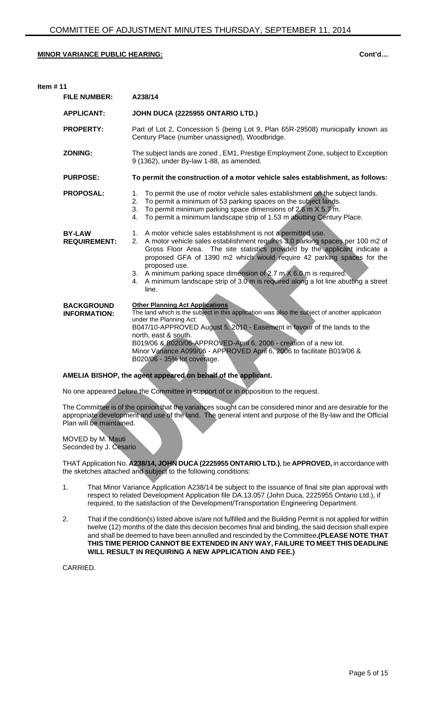| Item $# 11$                              |                                                                                                                                                                                                                                                                                                                                                                                                                                                                                                           |  |
|------------------------------------------|-----------------------------------------------------------------------------------------------------------------------------------------------------------------------------------------------------------------------------------------------------------------------------------------------------------------------------------------------------------------------------------------------------------------------------------------------------------------------------------------------------------|--|
| <b>FILE NUMBER:</b>                      | A238/14                                                                                                                                                                                                                                                                                                                                                                                                                                                                                                   |  |
| <b>APPLICANT:</b>                        | JOHN DUCA (2225955 ONTARIO LTD.)                                                                                                                                                                                                                                                                                                                                                                                                                                                                          |  |
| <b>PROPERTY:</b>                         | Part of Lot 2, Concession 5 (being Lot 9, Plan 65R-29508) municipally known as<br>Century Place (number unassigned), Woodbridge.                                                                                                                                                                                                                                                                                                                                                                          |  |
| <b>ZONING:</b>                           | The subject lands are zoned, EM1, Prestige Employment Zone, subject to Exception<br>9 (1362), under By-law 1-88, as amended.                                                                                                                                                                                                                                                                                                                                                                              |  |
| <b>PURPOSE:</b>                          | To permit the construction of a motor vehicle sales establishment, as follows:                                                                                                                                                                                                                                                                                                                                                                                                                            |  |
| <b>PROPOSAL:</b>                         | To permit the use of motor vehicle sales establishment on the subject lands.<br>$1_{-}$<br>2. To permit a minimum of 53 parking spaces on the subject lands.<br>3. To permit minimum parking space dimensions of 2.6 m $\times$ 5.7 m.<br>To permit a minimum landscape strip of 1.53 m abutting Century Place.<br>4.                                                                                                                                                                                     |  |
| <b>BY-LAW</b><br><b>REQUIREMENT:</b>     | 1. A motor vehicle sales establishment is not a permitted use.<br>A motor vehicle sales establishment requires 3.0 parking spaces per 100 m2 of<br>2.<br>Gross Floor Area. The site statistics provided by the applicant indicate a<br>proposed GFA of 1390 m2 which would require 42 parking spaces for the<br>proposed use.<br>3. A minimum parking space dimension of 2.7 m $X$ 6.0 m is required.<br>A minimum landscape strip of 3.0 m is required along a lot line abutting a street<br>4.<br>line. |  |
| <b>BACKGROUND</b><br><b>INFORMATION:</b> | <b>Other Planning Act Applications</b><br>The land which is the subject in this application was also the subject of another application<br>under the Planning Act:<br>B047/10-APPROVED August 5, 2010 - Easement in favour of the lands to the<br>north, east & south.<br>B019/06 & B020/06-APPROVED-April 6, 2006 - creation of a new lot.<br>Minor Variance A099/06 - APPROVED April 6, 2006 to facilitate B019/06 &<br>B020/06 - 35% lot coverage.                                                     |  |

**AMELIA BISHOP, the agent appeared on behalf of the applicant.**

No one appeared before the Committee in support of or in opposition to the request.

The Committee is of the opinion that the variances sought can be considered minor and are desirable for the appropriate development and use of the land. The general intent and purpose of the By-law and the Official Plan will be maintained.

MOVED by M. Mauti Seconded by J. Cesario

THAT Application No. **A238/14, JOHN DUCA (2225955 ONTARIO LTD.)**, be **APPROVED,** in accordance with the sketches attached and subject to the following conditions:

- 1. That Minor Variance Application A238/14 be subject to the issuance of final site plan approval with respect to related Development Application file DA.13.057 (John Duca, 2225955 Ontario Ltd.), if required, to the satisfaction of the Development/Transportation Engineering Department.
- 2. That if the condition(s) listed above is/are not fulfilled and the Building Permit is not applied for within twelve (12) months of the date this decision becomes final and binding, the said decision shall expire and shall be deemed to have been annulled and rescinded by the Committee**.(PLEASE NOTE THAT THIS TIME PERIOD CANNOT BE EXTENDED IN ANY WAY, FAILURE TO MEET THIS DEADLINE WILL RESULT IN REQUIRING A NEW APPLICATION AND FEE.)**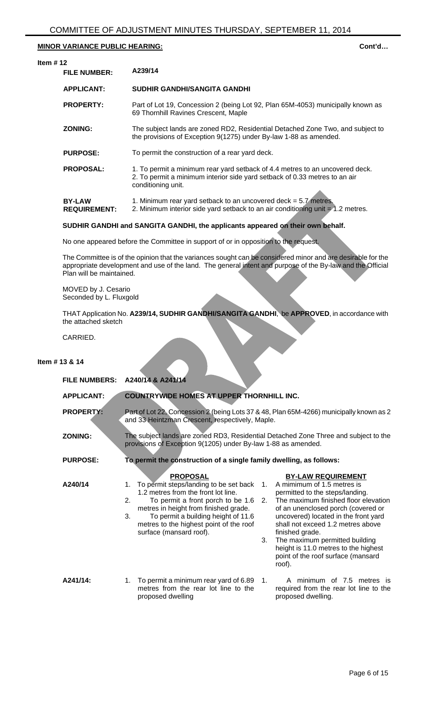| Item $#12$ |                                      |                                                                                                                                                                                  |
|------------|--------------------------------------|----------------------------------------------------------------------------------------------------------------------------------------------------------------------------------|
|            | <b>FILE NUMBER:</b>                  | A239/14                                                                                                                                                                          |
|            | <b>APPLICANT:</b>                    | SUDHIR GANDHI/SANGITA GANDHI                                                                                                                                                     |
|            | <b>PROPERTY:</b>                     | Part of Lot 19, Concession 2 (being Lot 92, Plan 65M-4053) municipally known as<br>69 Thornhill Ravines Crescent, Maple                                                          |
|            | <b>ZONING:</b>                       | The subject lands are zoned RD2, Residential Detached Zone Two, and subject to<br>the provisions of Exception 9(1275) under By-law 1-88 as amended.                              |
|            | <b>PURPOSE:</b>                      | To permit the construction of a rear yard deck.                                                                                                                                  |
|            | <b>PROPOSAL:</b>                     | 1. To permit a minimum rear yard setback of 4.4 metres to an uncovered deck.<br>2. To permit a minimum interior side yard setback of 0.33 metres to an air<br>conditioning unit. |
|            | <b>BY-LAW</b><br><b>REQUIREMENT:</b> | 1. Minimum rear yard setback to an uncovered deck = $5.7$ metres.<br>2. Minimum interior side yard setback to an air conditioning unit $= 1.2$ metres.                           |

# **SUDHIR GANDHI and SANGITA GANDHI, the applicants appeared on their own behalf.**

No one appeared before the Committee in support of or in opposition to the request.

The Committee is of the opinion that the variances sought can be considered minor and are desirable for the appropriate development and use of the land. The general intent and purpose of the By-law and the Official Plan will be maintained.

MOVED by J. Cesario Seconded by L. Fluxgold

THAT Application No. **A239/14, SUDHIR GANDHI/SANGITA GANDHI**, be **APPROVED**, in accordance with the attached sketch

CARRIED.

# **Item # 13 & 14**

| <b>FILE NUMBERS:</b> | A240/14 & A241/14                                                                                                                                                                                                                                                                                             |                                                                                                                                                                                                                                                                                                                                                                                                                                  |
|----------------------|---------------------------------------------------------------------------------------------------------------------------------------------------------------------------------------------------------------------------------------------------------------------------------------------------------------|----------------------------------------------------------------------------------------------------------------------------------------------------------------------------------------------------------------------------------------------------------------------------------------------------------------------------------------------------------------------------------------------------------------------------------|
| <b>APPLICANT:</b>    | <b>COUNTRYWIDE HOMES AT UPPER THORNHILL INC.</b>                                                                                                                                                                                                                                                              |                                                                                                                                                                                                                                                                                                                                                                                                                                  |
| <b>PROPERTY:</b>     | and 33 Heintzman Crescent, respectively, Maple.                                                                                                                                                                                                                                                               | Part of Lot 22, Concession 2 (being Lots 37 & 48, Plan 65M-4266) municipally known as 2                                                                                                                                                                                                                                                                                                                                          |
| <b>ZONING:</b>       | provisions of Exception 9(1205) under By-law 1-88 as amended.                                                                                                                                                                                                                                                 | The subject lands are zoned RD3, Residential Detached Zone Three and subject to the                                                                                                                                                                                                                                                                                                                                              |
| <b>PURPOSE:</b>      | To permit the construction of a single family dwelling, as follows:                                                                                                                                                                                                                                           |                                                                                                                                                                                                                                                                                                                                                                                                                                  |
| A240/14              | <b>PROPOSAL</b><br>To permit steps/landing to be set back<br>1.<br>1.2 metres from the front lot line.<br>2.<br>To permit a front porch to be 1.6<br>metres in height from finished grade.<br>To permit a building height of 11.6<br>3.<br>metres to the highest point of the roof<br>surface (mansard roof). | <b>BY-LAW REQUIREMENT</b><br>A mimimum of 1.5 metres is<br>$\mathbf{1}$ .<br>permitted to the steps/landing.<br>The maximum finished floor elevation<br>2.<br>of an unenclosed porch (covered or<br>uncovered) located in the front yard<br>shall not exceed 1.2 metres above<br>finished grade.<br>3.<br>The maximum permitted building<br>height is 11.0 metres to the highest<br>point of the roof surface (mansard<br>roof). |
| A241/14:             | 1. To permit a minimum rear yard of 6.89 1.<br>metres from the rear lot line to the<br>proposed dwelling                                                                                                                                                                                                      | A minimum of 7.5 metres is<br>required from the rear lot line to the<br>proposed dwelling.                                                                                                                                                                                                                                                                                                                                       |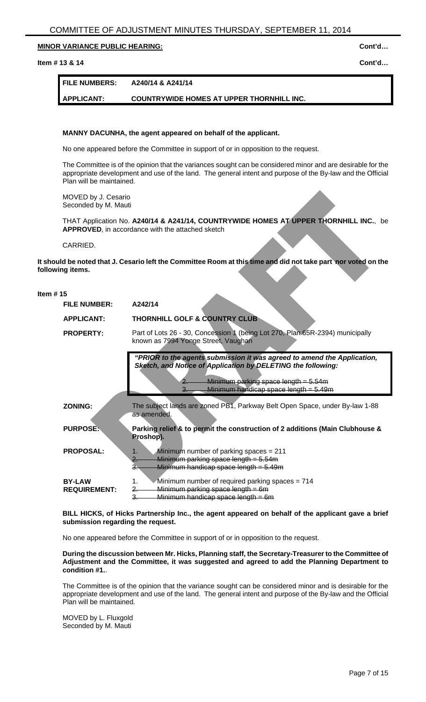#### **Item # 13 & 14 Cont'd…**

# **FILE NUMBERS: A240/14 & A241/14**

# **APPLICANT: COUNTRYWIDE HOMES AT UPPER THORNHILL INC.**

# **MANNY DACUNHA, the agent appeared on behalf of the applicant.**

No one appeared before the Committee in support of or in opposition to the request.

The Committee is of the opinion that the variances sought can be considered minor and are desirable for the appropriate development and use of the land. The general intent and purpose of the By-law and the Official Plan will be maintained.

MOVED by J. Cesario Seconded by M. Mauti

THAT Application No. **A240/14 & A241/14, COUNTRYWIDE HOMES AT UPPER THORNHILL INC.**, be **APPROVED**, in accordance with the attached sketch

CARRIED.

**It should be noted that J. Cesario left the Committee Room at this time and did not take part nor voted on the following items.**

# **Item # 15**

| <b>THORNHILL GOLF &amp; COUNTRY CLUB</b><br><b>APPLICANT:</b><br>Part of Lots 26 - 30, Concession 1 (being Lot 270, Plan 65R-2394) municipally<br><b>PROPERTY:</b><br>known as 7994 Yonge Street, Vaughan<br>"PRIOR to the agents submission it was agreed to amend the Application,<br><b>Sketch, and Notice of Application by DELETING the following:</b><br>Minimum parking space length = $5.54m$<br>Minimum handicap space length = 5.49m<br>The subject lands are zoned PB1, Parkway Belt Open Space, under By-law 1-88<br><b>ZONING:</b><br>as amended.<br>Parking relief & to permit the construction of 2 additions (Main Clubhouse &<br><b>PURPOSE:</b><br>Proshop).<br>Minimum number of parking spaces $= 211$<br><b>PROPOSAL:</b><br>1.<br>$Minimum$ parking space length = $5.54$ m<br>2.<br>Minimum handicap space length = $5.49m$<br>З. | <b>FILE NUMBER:</b> | A242/14 |
|----------------------------------------------------------------------------------------------------------------------------------------------------------------------------------------------------------------------------------------------------------------------------------------------------------------------------------------------------------------------------------------------------------------------------------------------------------------------------------------------------------------------------------------------------------------------------------------------------------------------------------------------------------------------------------------------------------------------------------------------------------------------------------------------------------------------------------------------------------|---------------------|---------|
|                                                                                                                                                                                                                                                                                                                                                                                                                                                                                                                                                                                                                                                                                                                                                                                                                                                          |                     |         |
|                                                                                                                                                                                                                                                                                                                                                                                                                                                                                                                                                                                                                                                                                                                                                                                                                                                          |                     |         |
|                                                                                                                                                                                                                                                                                                                                                                                                                                                                                                                                                                                                                                                                                                                                                                                                                                                          |                     |         |
|                                                                                                                                                                                                                                                                                                                                                                                                                                                                                                                                                                                                                                                                                                                                                                                                                                                          |                     |         |
|                                                                                                                                                                                                                                                                                                                                                                                                                                                                                                                                                                                                                                                                                                                                                                                                                                                          |                     |         |
|                                                                                                                                                                                                                                                                                                                                                                                                                                                                                                                                                                                                                                                                                                                                                                                                                                                          |                     |         |
|                                                                                                                                                                                                                                                                                                                                                                                                                                                                                                                                                                                                                                                                                                                                                                                                                                                          |                     |         |
| <b>BY-LAW</b><br>Minimum number of required parking spaces = 714<br>1.                                                                                                                                                                                                                                                                                                                                                                                                                                                                                                                                                                                                                                                                                                                                                                                   |                     |         |
| Minimum parking space length = 6m<br><b>REQUIREMENT:</b><br>Minimum handicap space length = 6m<br>З.                                                                                                                                                                                                                                                                                                                                                                                                                                                                                                                                                                                                                                                                                                                                                     |                     |         |

**BILL HICKS, of Hicks Partnership Inc., the agent appeared on behalf of the applicant gave a brief submission regarding the request.**

No one appeared before the Committee in support of or in opposition to the request.

**During the discussion between Mr. Hicks, Planning staff, the Secretary-Treasurer to the Committee of Adjustment and the Committee, it was suggested and agreed to add the Planning Department to condition #1.**.

The Committee is of the opinion that the variance sought can be considered minor and is desirable for the appropriate development and use of the land. The general intent and purpose of the By-law and the Official Plan will be maintained.

MOVED by L. Fluxgold Seconded by M. Mauti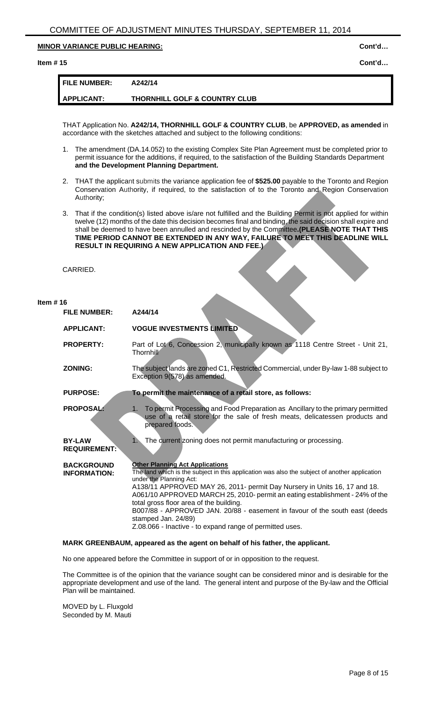# **Item # 15 Cont'd…**

| <b>FILE NUMBER:</b> | A242/14                                  |
|---------------------|------------------------------------------|
| APPLICANT:          | <b>THORNHILL GOLF &amp; COUNTRY CLUB</b> |

THAT Application No. **A242/14, THORNHILL GOLF & COUNTRY CLUB**, be **APPROVED, as amended** in accordance with the sketches attached and subject to the following conditions:

- 1. The amendment (DA.14.052) to the existing Complex Site Plan Agreement must be completed prior to permit issuance for the additions, if required, to the satisfaction of the Building Standards Department **and the Development Planning Department.**
- 2. THAT the applicant submits the variance application fee of **\$525.00** payable to the Toronto and Region Conservation Authority, if required, to the satisfaction of to the Toronto and Region Conservation Authority;
- 3. That if the condition(s) listed above is/are not fulfilled and the Building Permit is not applied for within twelve (12) months of the date this decision becomes final and binding, the said decision shall expire and shall be deemed to have been annulled and rescinded by the Committee**.(PLEASE NOTE THAT THIS TIME PERIOD CANNOT BE EXTENDED IN ANY WAY, FAILURE TO MEET THIS DEADLINE WILL RESULT IN REQUIRING A NEW APPLICATION AND FEE.)**

CARRIED.

# **Item # 16**

| <b>FILE NUMBER:</b>                      | A244/14                                                                                                                                                                                                                                                                                                                                                                                                                                                                                                                                      |
|------------------------------------------|----------------------------------------------------------------------------------------------------------------------------------------------------------------------------------------------------------------------------------------------------------------------------------------------------------------------------------------------------------------------------------------------------------------------------------------------------------------------------------------------------------------------------------------------|
| <b>APPLICANT:</b>                        | <b>VOGUE INVESTMENTS LIMITED</b>                                                                                                                                                                                                                                                                                                                                                                                                                                                                                                             |
| <b>PROPERTY:</b>                         | Part of Lot 6, Concession 2, municipally known as 1118 Centre Street - Unit 21,<br>Thornhill                                                                                                                                                                                                                                                                                                                                                                                                                                                 |
| <b>ZONING:</b>                           | The subject lands are zoned C1, Restricted Commercial, under By-law 1-88 subject to<br>Exception 9(578) as amended.                                                                                                                                                                                                                                                                                                                                                                                                                          |
| <b>PURPOSE:</b>                          | To permit the maintenance of a retail store, as follows:                                                                                                                                                                                                                                                                                                                                                                                                                                                                                     |
| <b>PROPOSAL:</b>                         | To permit Processing and Food Preparation as Ancillary to the primary permitted<br>1.<br>use of a retail store for the sale of fresh meats, delicatessen products and<br>prepared foods.                                                                                                                                                                                                                                                                                                                                                     |
| <b>BY-LAW</b><br><b>REQUIREMENT:</b>     | The current zoning does not permit manufacturing or processing.<br>1.                                                                                                                                                                                                                                                                                                                                                                                                                                                                        |
| <b>BACKGROUND</b><br><b>INFORMATION:</b> | <b>Other Planning Act Applications</b><br>The land which is the subject in this application was also the subject of another application<br>under the Planning Act:<br>A138/11 APPROVED MAY 26, 2011- permit Day Nursery in Units 16, 17 and 18.<br>A061/10 APPROVED MARCH 25, 2010- permit an eating establishment - 24% of the<br>total gross floor area of the building.<br>B007/88 - APPROVED JAN. 20/88 - easement in favour of the south east (deeds<br>stamped Jan. 24/89)<br>Z.08.066 - Inactive - to expand range of permitted uses. |

#### **MARK GREENBAUM, appeared as the agent on behalf of his father, the applicant.**

No one appeared before the Committee in support of or in opposition to the request.

The Committee is of the opinion that the variance sought can be considered minor and is desirable for the appropriate development and use of the land. The general intent and purpose of the By-law and the Official Plan will be maintained.

MOVED by L. Fluxgold Seconded by M. Mauti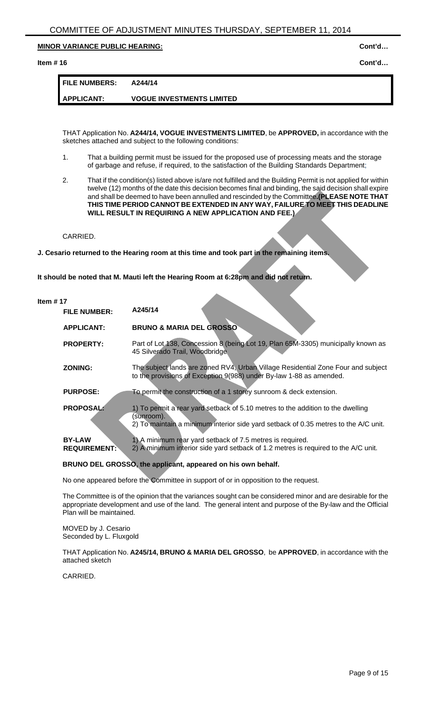# **Item # 16 Cont'd…**

| <b>FILE NUMBERS:</b> | A244/14                          |
|----------------------|----------------------------------|
| <b>APPLICANT:</b>    | <b>VOGUE INVESTMENTS LIMITED</b> |

THAT Application No. **A244/14, VOGUE INVESTMENTS LIMITED**, be **APPROVED,** in accordance with the sketches attached and subject to the following conditions:

- 1. That a building permit must be issued for the proposed use of processing meats and the storage of garbage and refuse, if required, to the satisfaction of the Building Standards Department;
- 2. That if the condition(s) listed above is/are not fulfilled and the Building Permit is not applied for within twelve (12) months of the date this decision becomes final and binding, the said decision shall expire and shall be deemed to have been annulled and rescinded by the Committee**.(PLEASE NOTE THAT THIS TIME PERIOD CANNOT BE EXTENDED IN ANY WAY, FAILURE TO MEET THIS DEADLINE WILL RESULT IN REQUIRING A NEW APPLICATION AND FEE.)**

CARRIED.

**J. Cesario returned to the Hearing room at this time and took part in the remaining items.**

**It should be noted that M. Mauti left the Hearing Room at 6:28pm and did not return.**

#### **Item # 17**

| <b>FILE NUMBER:</b>                  | A245/14                                                                                                                                                                              |
|--------------------------------------|--------------------------------------------------------------------------------------------------------------------------------------------------------------------------------------|
| <b>APPLICANT:</b>                    | <b>BRUNO &amp; MARIA DEL GROSSO</b>                                                                                                                                                  |
| <b>PROPERTY:</b>                     | Part of Lot 138, Concession 8 (being Lot 19, Plan 65M-3305) municipally known as<br>45 Silverado Trail, Woodbridge                                                                   |
| <b>ZONING:</b>                       | The subject lands are zoned RV4, Urban Village Residential Zone Four and subject<br>to the provisions of Exception 9(988) under By-law 1-88 as amended.                              |
| <b>PURPOSE:</b>                      | To permit the construction of a 1 storey sunroom & deck extension.                                                                                                                   |
| <b>PROPOSAL:</b>                     | 1) To permit a rear yard setback of 5.10 metres to the addition to the dwelling<br>(sunroom).<br>2) To maintain a minimum interior side yard setback of 0.35 metres to the A/C unit. |
| <b>BY-LAW</b><br><b>REQUIREMENT:</b> | 1) A minimum rear yard setback of 7.5 metres is required.<br>2) A minimum interior side yard setback of 1.2 metres is required to the A/C unit.                                      |

**BRUNO DEL GROSSO, the applicant, appeared on his own behalf.**

No one appeared before the Committee in support of or in opposition to the request.

The Committee is of the opinion that the variances sought can be considered minor and are desirable for the appropriate development and use of the land. The general intent and purpose of the By-law and the Official Plan will be maintained.

MOVED by J. Cesario Seconded by L. Fluxgold

THAT Application No. **A245/14, BRUNO & MARIA DEL GROSSO**, be **APPROVED**, in accordance with the attached sketch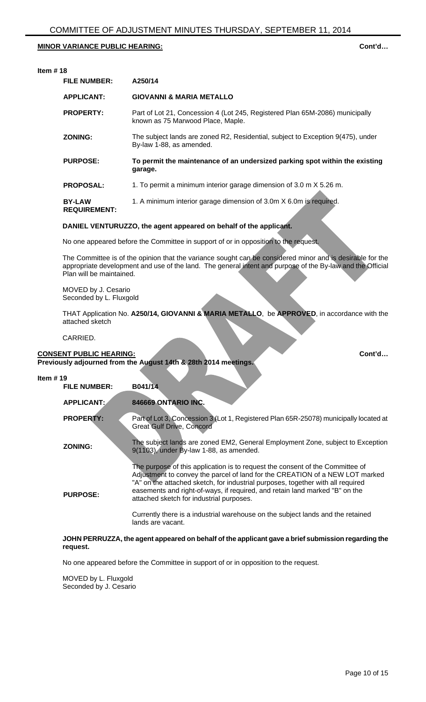# **Item # 18**

| <b>FILE NUMBER:</b>                  | A250/14                                                                                                           |
|--------------------------------------|-------------------------------------------------------------------------------------------------------------------|
| <b>APPLICANT:</b>                    | <b>GIOVANNI &amp; MARIA METALLO</b>                                                                               |
| <b>PROPERTY:</b>                     | Part of Lot 21, Concession 4 (Lot 245, Registered Plan 65M-2086) municipally<br>known as 75 Marwood Place, Maple. |
| <b>ZONING:</b>                       | The subject lands are zoned R2, Residential, subject to Exception 9(475), under<br>By-law 1-88, as amended.       |
| <b>PURPOSE:</b>                      | To permit the maintenance of an undersized parking spot within the existing<br>garage.                            |
| <b>PROPOSAL:</b>                     | 1. To permit a minimum interior garage dimension of 3.0 m X 5.26 m.                                               |
| <b>BY-LAW</b><br><b>REQUIREMENT:</b> | 1. A minimum interior garage dimension of 3.0m X 6.0m is required.                                                |

# **DANIEL VENTURUZZO, the agent appeared on behalf of the applicant.**

No one appeared before the Committee in support of or in opposition to the request.

The Committee is of the opinion that the variance sought can be considered minor and is desirable for the appropriate development and use of the land. The general intent and purpose of the By-law and the Official Plan will be maintained.

MOVED by J. Cesario Seconded by L. Fluxgold

THAT Application No. **A250/14, GIOVANNI & MARIA METALLO**, be **APPROVED**, in accordance with the attached sketch

CARRIED.

# **CONSENT PUBLIC HEARING: CONSENT PUBLIC HEARING: Cont'd...**

**Previously adjourned from the August 14th & 28th 2014 meetings.**

| Item $#19$ |                     |                                                                                                                                                                                                                                                                                                                                                                                                                                                                                     |
|------------|---------------------|-------------------------------------------------------------------------------------------------------------------------------------------------------------------------------------------------------------------------------------------------------------------------------------------------------------------------------------------------------------------------------------------------------------------------------------------------------------------------------------|
|            | <b>FILE NUMBER:</b> | B041/14                                                                                                                                                                                                                                                                                                                                                                                                                                                                             |
|            | <b>APPLICANT:</b>   | 846669 ONTARIO INC.                                                                                                                                                                                                                                                                                                                                                                                                                                                                 |
|            | <b>PROPERTY:</b>    | Part of Lot 3, Concession 3 (Lot 1, Registered Plan 65R-25078) municipally located at<br><b>Great Gulf Drive, Concord</b>                                                                                                                                                                                                                                                                                                                                                           |
|            | <b>ZONING:</b>      | The subject lands are zoned EM2, General Employment Zone, subject to Exception<br>9(1103), under By-law 1-88, as amended.                                                                                                                                                                                                                                                                                                                                                           |
|            | <b>PURPOSE:</b>     | The purpose of this application is to request the consent of the Committee of<br>Adjustment to convey the parcel of land for the CREATION of a NEW LOT marked<br>"A" on the attached sketch, for industrial purposes, together with all required<br>easements and right-of-ways, if required, and retain land marked "B" on the<br>attached sketch for industrial purposes.<br>Currently there is a industrial warehouse on the subject lands and the retained<br>lands are vacant. |

# **JOHN PERRUZZA, the agent appeared on behalf of the applicant gave a brief submission regarding the request.**

No one appeared before the Committee in support of or in opposition to the request.

MOVED by L. Fluxgold Seconded by J. Cesario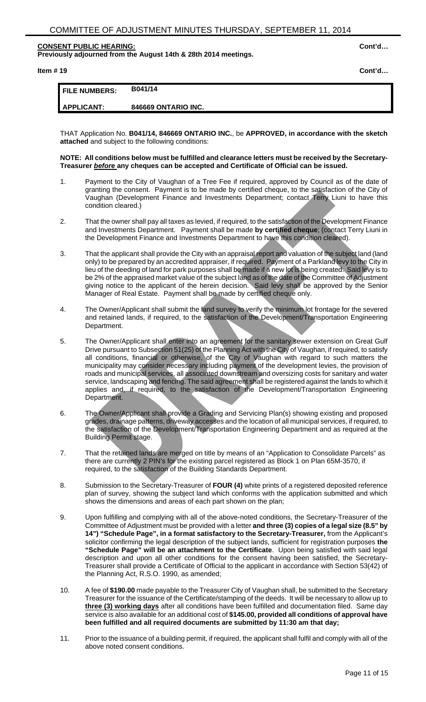# **CONSENT PUBLIC HEARING: Cont'd…**

**Previously adjourned from the August 14th & 28th 2014 meetings.**

# **Item # 19 Cont'd…**

|                      | B041/14             |
|----------------------|---------------------|
| <b>FILE NUMBERS:</b> |                     |
| <b>APPLICANT:</b>    | 846669 ONTARIO INC. |

THAT Application No. **B041/14, 846669 ONTARIO INC.**, be **APPROVED, in accordance with the sketch attached** and subject to the following conditions:

#### **NOTE: All conditions below must be fulfilled and clearance letters must be received by the Secretary-Treasurer** *before* **any cheques can be accepted and Certificate of Official can be issued.**

- 1. Payment to the City of Vaughan of a Tree Fee if required, approved by Council as of the date of granting the consent. Payment is to be made by certified cheque, to the satisfaction of the City of Vaughan (Development Finance and Investments Department; contact Terry Liuni to have this condition cleared.)
- 2. That the owner shall pay all taxes as levied, if required, to the satisfaction of the Development Finance and Investments Department. Payment shall be made **by certified cheque**; (contact Terry Liuni in the Development Finance and Investments Department to have this condition cleared).
- 3. That the applicant shall provide the City with an appraisal report and valuation of the subject land (land only) to be prepared by an accredited appraiser, if required. Payment of a Parkland levy to the City in lieu of the deeding of land for park purposes shall be made if a new lot is being created. Said levy is to be 2% of the appraised market value of the subject land as of the date of the Committee of Adjustment giving notice to the applicant of the herein decision. Said levy shall be approved by the Senior Manager of Real Estate. Payment shall be made by certified cheque only.
- 4. The Owner/Applicant shall submit the land survey to verify the minimum lot frontage for the severed and retained lands, if required, to the satisfaction of the Development/Transportation Engineering Department.
- 5. The Owner/Applicant shall enter into an agreement for the sanitary sewer extension on Great Gulf Drive pursuant to Subsection 51(25) of the Planning Act with the City of Vaughan, if required, to satisfy all conditions, financial or otherwise, of the City of Vaughan with regard to such matters the municipality may consider necessary including payment of the development levies, the provision of roads and municipal services, all associated downstream and oversizing costs for sanitary and water service, landscaping and fencing. The said agreement shall be registered against the lands to which it applies and, if required, to the satisfaction of the Development/Transportation Engineering Department.
- 6. The Owner/Applicant shall provide a Grading and Servicing Plan(s) showing existing and proposed grades, drainage patterns, driveway accesses and the location of all municipal services, if required, to the satisfaction of the Development/Transportation Engineering Department and as required at the Building Permit stage.
- 7. That the retained lands are merged on title by means of an "Application to Consolidate Parcels" as there are currently 2 PIN's for the existing parcel registered as Block 1 on Plan 65M-3570, if required, to the satisfaction of the Building Standards Department.
- 8. Submission to the Secretary-Treasurer of **FOUR (4)** white prints of a registered deposited reference plan of survey, showing the subject land which conforms with the application submitted and which shows the dimensions and areas of each part shown on the plan;
- 9. Upon fulfilling and complying with all of the above-noted conditions, the Secretary-Treasurer of the Committee of Adjustment must be provided with a letter **and three (3) copies of a legal size (8.5" by 14") "Schedule Page", in a format satisfactory to the Secretary-Treasurer,** from the Applicant's solicitor confirming the legal description of the subject lands, sufficient for registration purposes **the "Schedule Page" will be an attachment to the Certificate**. Upon being satisfied with said legal description and upon all other conditions for the consent having been satisfied, the Secretary-Treasurer shall provide a Certificate of Official to the applicant in accordance with Section 53(42) of the Planning Act, R.S.O. 1990, as amended;
- 10. A fee of **\$190.00** made payable to the Treasurer City of Vaughan shall, be submitted to the Secretary Treasurer for the issuance of the Certificate/stamping of the deeds. It will be necessary to allow up to **three (3) working days** after all conditions have been fulfilled and documentation filed. Same day service is also available for an additional cost of **\$145.00, provided all conditions of approval have been fulfilled and all required documents are submitted by 11:30 am that day;**
- 11. Prior to the issuance of a building permit, if required, the applicant shall fulfil and comply with all of the above noted consent conditions.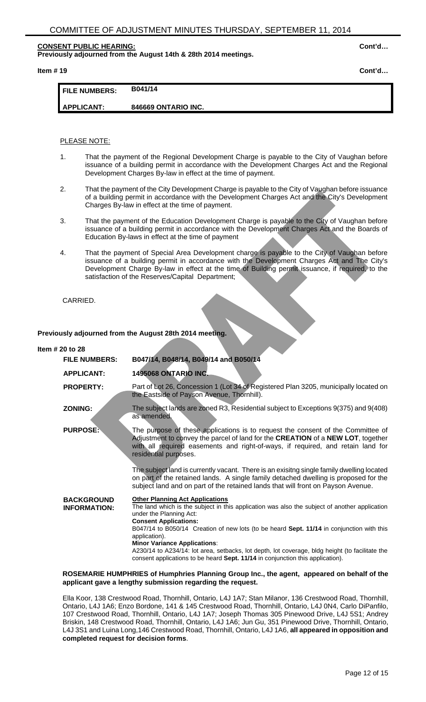# **CONSENT PUBLIC HEARING: Cont'd…**

**Previously adjourned from the August 14th & 28th 2014 meetings.**

**Item # 19 Cont'd…**

| <b>FILE NUMBERS:</b> | B041/14             |
|----------------------|---------------------|
| <b>APPLICANT:</b>    | 846669 ONTARIO INC. |

# PLEASE NOTE:

- 1. That the payment of the Regional Development Charge is payable to the City of Vaughan before issuance of a building permit in accordance with the Development Charges Act and the Regional Development Charges By-law in effect at the time of payment.
- 2. That the payment of the City Development Charge is payable to the City of Vaughan before issuance of a building permit in accordance with the Development Charges Act and the City's Development Charges By-law in effect at the time of payment.
- 3. That the payment of the Education Development Charge is payable to the City of Vaughan before issuance of a building permit in accordance with the Development Charges Act and the Boards of Education By-laws in effect at the time of payment
- 4. That the payment of Special Area Development charge is payable to the City of Vaughan before issuance of a building permit in accordance with the Development Charges Act and The City's Development Charge By-law in effect at the time of Building permit issuance, if required, to the satisfaction of the Reserves/Capital Department;

# CARRIED.

**Previously adjourned from the August 28th 2014 meeting.**

# **Item # 20 to 28 FILE NUMBERS: B047/14, B048/14, B049/14 and B050/14 APPLICANT: 1495068 ONTARIO INC. PROPERTY:** Part of Lot 26, Concession 1 (Lot 34 of Registered Plan 3205, municipally located on the Eastside of Payson Avenue, Thornhill). **ZONING:** The subject lands are zoned R3, Residential subject to Exceptions 9(375) and 9(408) as amended. PURPOSE: The purpose of these applications is to request the consent of the Committee of Adjustment to convey the parcel of land for the **CREATION** of a **NEW LOT**, together with all required easements and right-of-ways, if required, and retain land for residential purposes. The subject land is currently vacant. There is an exisitng single family dwelling located on part of the retained lands. A single family detached dwelling is proposed for the subject land and on part of the retained lands that will front on Payson Avenue. **BACKGROUND INFORMATION: Other Planning Act Applications** The land which is the subject in this application was also the subject of another application under the Planning Act: **Consent Applications:**  B047/14 to B050/14 Creation of new lots (to be heard **Sept. 11/14** in conjunction with this application). **Minor Variance Applications**: A230/14 to A234/14: lot area, setbacks, lot depth, lot coverage, bldg height (to facilitate the consent applications to be heard **Sept. 11/14** in conjunction this application).

# **ROSEMARIE HUMPHRIES of Humphries Planning Group Inc., the agent, appeared on behalf of the applicant gave a lengthy submission regarding the request.**

Ella Koor, 138 Crestwood Road, Thornhill, Ontario, L4J 1A7; Stan Milanor, 136 Crestwood Road, Thornhill, Ontario, L4J 1A6; Enzo Bordone, 141 & 145 Crestwood Road, Thornhill, Ontario, L4J 0N4, Carlo DiPanfilo, 107 Crestwood Road, Thornhill, Ontario, L4J 1A7; Joseph Thomas 305 Pinewood Drive, L4J 5S1; Andrey Briskin, 148 Crestwood Road, Thornhill, Ontario, L4J 1A6; Jun Gu, 351 Pinewood Drive, Thornhill, Ontario, L4J 3S1 and Luina Long,146 Crestwood Road, Thornhill, Ontario, L4J 1A6, **all appeared in opposition and completed request for decision forms**.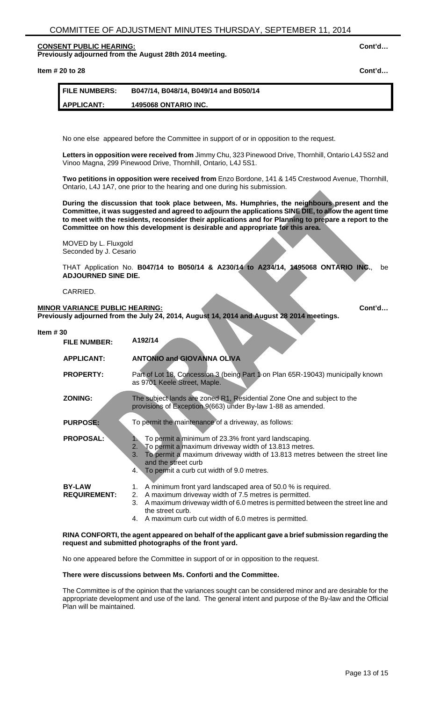### **CONSENT PUBLIC HEARING: Cont'd… Previously adjourned from the August 28th 2014 meeting.**

**Item # 20 to 28 Cont'd…**

| <b>FILE NUMBERS:</b> | B047/14, B048/14, B049/14 and B050/14 |
|----------------------|---------------------------------------|
| 1 APPLICANT:         | <b>1495068 ONTARIO INC.</b>           |

No one else appeared before the Committee in support of or in opposition to the request.

**Letters in opposition were received from** Jimmy Chu, 323 Pinewood Drive, Thornhill, Ontario L4J 5S2 and Vinoo Magna, 299 Pinewood Drive, Thornhill, Ontario, L4J 5S1.

**Two petitions in opposition were received from** Enzo Bordone, 141 & 145 Crestwood Avenue, Thornhill, Ontario, L4J 1A7, one prior to the hearing and one during his submission.

**During the discussion that took place between, Ms. Humphries, the neighbours present and the Committee, it was suggested and agreed to adjourn the applications SINE DIE, to allow the agent time to meet with the residents, reconsider their applications and for Planning to prepare a report to the Committee on how this development is desirable and appropriate for this area.**

MOVED by L. Fluxgold Seconded by J. Cesario

THAT Application No. **B047/14 to B050/14 & A230/14 to A234/14, 1495068 ONTARIO INC.**, be **ADJOURNED SINE DIE.**

CARRIED.

# **MINOR VARIANCE PUBLIC HEARING: Cont'd... Cont'd...**

**Previously adjourned from the July 24, 2014, August 14, 2014 and August 28 2014 meetings.**

# **Item # 30**

| <b>FILE NUMBER:</b>                  | A192/14                                                                                                                                                                                                                                                                                              |
|--------------------------------------|------------------------------------------------------------------------------------------------------------------------------------------------------------------------------------------------------------------------------------------------------------------------------------------------------|
| <b>APPLICANT:</b>                    | <b>ANTONIO and GIOVANNA OLIVA</b>                                                                                                                                                                                                                                                                    |
| <b>PROPERTY:</b>                     | Part of Lot 18, Concession 3 (being Part 1 on Plan 65R-19043) municipally known<br>as 9701 Keele Street, Maple.                                                                                                                                                                                      |
| <b>ZONING:</b>                       | The subject lands are zoned R1, Residential Zone One and subject to the<br>provisions of Exception 9(663) under By-law 1-88 as amended.                                                                                                                                                              |
| <b>PURPOSE:</b>                      | To permit the maintenance of a driveway, as follows:                                                                                                                                                                                                                                                 |
| <b>PROPOSAL:</b>                     | To permit a minimum of 23.3% front yard landscaping.<br>To permit a maximum driveway width of 13.813 metres.<br>2.<br>To permit a maximum driveway width of 13.813 metres between the street line<br>3.<br>and the street curb<br>4. To permit a curb cut width of 9.0 metres.                       |
| <b>BY-LAW</b><br><b>REQUIREMENT:</b> | 1. A minimum front yard landscaped area of 50.0 % is required.<br>A maximum driveway width of 7.5 metres is permitted.<br>2.<br>A maximum driveway width of 6.0 metres is permitted between the street line and<br>3.<br>the street curb.<br>4. A maximum curb cut width of 6.0 metres is permitted. |

#### **RINA CONFORTI, the agent appeared on behalf of the applicant gave a brief submission regarding the request and submitted photographs of the front yard.**

No one appeared before the Committee in support of or in opposition to the request.

#### **There were discussions between Ms. Conforti and the Committee.**

The Committee is of the opinion that the variances sought can be considered minor and are desirable for the appropriate development and use of the land. The general intent and purpose of the By-law and the Official Plan will be maintained.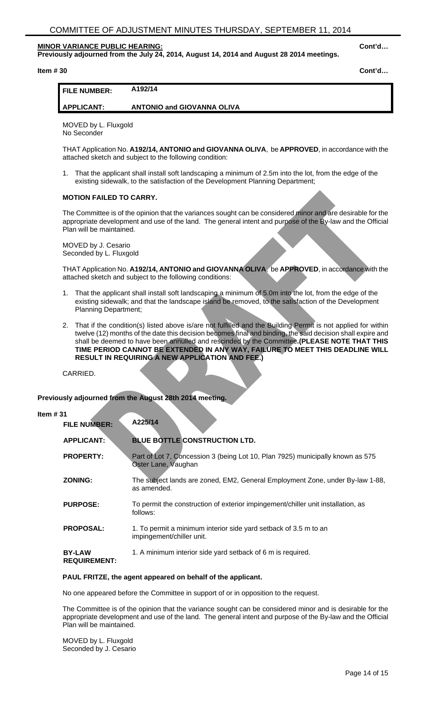**Previously adjourned from the July 24, 2014, August 14, 2014 and August 28 2014 meetings.**

**Item # 30 Cont'd…**

# **APPLICANT: ANTONIO and GIOVANNA OLIVA**

MOVED by L. Fluxgold No Seconder

THAT Application No. **A192/14, ANTONIO and GIOVANNA OLIVA**, be **APPROVED**, in accordance with the attached sketch and subject to the following condition:

1. That the applicant shall install soft landscaping a minimum of 2.5m into the lot, from the edge of the existing sidewalk, to the satisfaction of the Development Planning Department;

# **MOTION FAILED TO CARRY.**

The Committee is of the opinion that the variances sought can be considered minor and are desirable for the appropriate development and use of the land. The general intent and purpose of the By-law and the Official Plan will be maintained.

MOVED by J. Cesario Seconded by L. Fluxgold

THAT Application No. **A192/14, ANTONIO and GIOVANNA OLIVA**, be **APPROVED**, in accordance with the attached sketch and subject to the following conditions:

- 1. That the applicant shall install soft landscaping a minimum of 5.0m into the lot, from the edge of the existing sidewalk; and that the landscape island be removed, to the satisfaction of the Development Planning Department;
- 2. That if the condition(s) listed above is/are not fulfilled and the Building Permit is not applied for within twelve (12) months of the date this decision becomes final and binding, the said decision shall expire and shall be deemed to have been annulled and rescinded by the Committee**.(PLEASE NOTE THAT THIS TIME PERIOD CANNOT BE EXTENDED IN ANY WAY, FAILURE TO MEET THIS DEADLINE WILL RESULT IN REQUIRING A NEW APPLICATION AND FEE.)**

CARRIED.

**Previously adjourned from the August 28th 2014 meeting.**

#### **Item # 31**

| <b>FILE NUMBER:</b>                  | A225/14                                                                                               |
|--------------------------------------|-------------------------------------------------------------------------------------------------------|
| <b>APPLICANT:</b>                    | <b>BLUE BOTTLE CONSTRUCTION LTD.</b>                                                                  |
| <b>PROPERTY:</b>                     | Part of Lot 7, Concession 3 (being Lot 10, Plan 7925) municipally known as 575<br>Oster Lane, Vaughan |
| <b>ZONING:</b>                       | The subject lands are zoned, EM2, General Employment Zone, under By-law 1-88,<br>as amended.          |
| <b>PURPOSE:</b>                      | To permit the construction of exterior impingement/chiller unit installation, as<br>follows:          |
| <b>PROPOSAL:</b>                     | 1. To permit a minimum interior side yard setback of 3.5 m to an<br>impingement/chiller unit.         |
| <b>BY-LAW</b><br><b>REQUIREMENT:</b> | 1. A minimum interior side yard setback of 6 m is required.                                           |

#### **PAUL FRITZE, the agent appeared on behalf of the applicant.**

No one appeared before the Committee in support of or in opposition to the request.

The Committee is of the opinion that the variance sought can be considered minor and is desirable for the appropriate development and use of the land. The general intent and purpose of the By-law and the Official Plan will be maintained.

MOVED by L. Fluxgold Seconded by J. Cesario